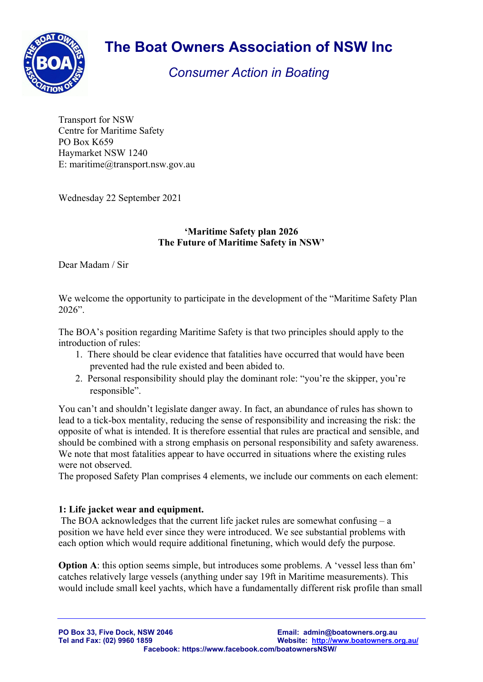

# **The Boat Owners Association of NSW Inc**

## *Consumer Action in Boating*

Transport for NSW Centre for Maritime Safety PO Box K659 Haymarket NSW 1240 E: maritime@transport.nsw.gov.au

Wednesday 22 September 2021

#### **'Maritime Safety plan 2026 The Future of Maritime Safety in NSW'**

Dear Madam / Sir

We welcome the opportunity to participate in the development of the "Maritime Safety Plan 2026".

The BOA's position regarding Maritime Safety is that two principles should apply to the introduction of rules:

- 1. There should be clear evidence that fatalities have occurred that would have been prevented had the rule existed and been abided to.
- 2. Personal responsibility should play the dominant role: "you're the skipper, you're responsible".

You can't and shouldn't legislate danger away. In fact, an abundance of rules has shown to lead to a tick-box mentality, reducing the sense of responsibility and increasing the risk: the opposite of what is intended. It is therefore essential that rules are practical and sensible, and should be combined with a strong emphasis on personal responsibility and safety awareness. We note that most fatalities appear to have occurred in situations where the existing rules were not observed.

The proposed Safety Plan comprises 4 elements, we include our comments on each element:

#### **1: Life jacket wear and equipment.**

 The BOA acknowledges that the current life jacket rules are somewhat confusing – a position we have held ever since they were introduced. We see substantial problems with each option which would require additional finetuning, which would defy the purpose.

**Option A**: this option seems simple, but introduces some problems. A 'vessel less than 6m' catches relatively large vessels (anything under say 19ft in Maritime measurements). This would include small keel yachts, which have a fundamentally different risk profile than small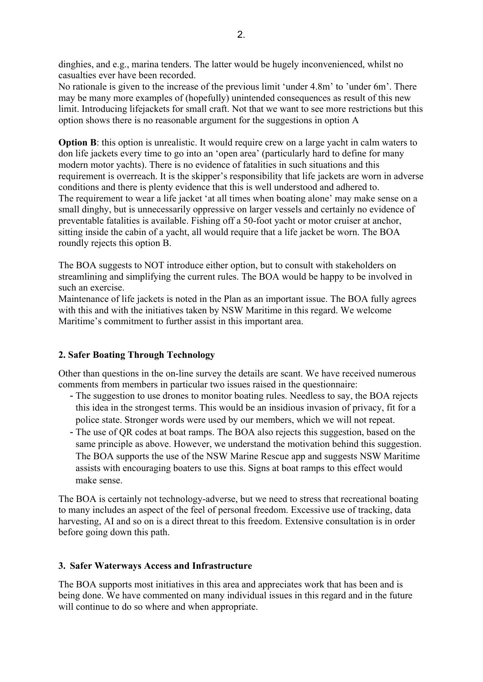dinghies, and e.g., marina tenders. The latter would be hugely inconvenienced, whilst no casualties ever have been recorded.

No rationale is given to the increase of the previous limit 'under 4.8m' to 'under 6m'. There may be many more examples of (hopefully) unintended consequences as result of this new limit. Introducing lifejackets for small craft. Not that we want to see more restrictions but this option shows there is no reasonable argument for the suggestions in option A

**Option B**: this option is unrealistic. It would require crew on a large yacht in calm waters to don life jackets every time to go into an 'open area' (particularly hard to define for many modern motor yachts). There is no evidence of fatalities in such situations and this requirement is overreach. It is the skipper's responsibility that life jackets are worn in adverse conditions and there is plenty evidence that this is well understood and adhered to. The requirement to wear a life jacket 'at all times when boating alone' may make sense on a small dinghy, but is unnecessarily oppressive on larger vessels and certainly no evidence of preventable fatalities is available. Fishing off a 50-foot yacht or motor cruiser at anchor, sitting inside the cabin of a yacht, all would require that a life jacket be worn. The BOA roundly rejects this option B.

The BOA suggests to NOT introduce either option, but to consult with stakeholders on streamlining and simplifying the current rules. The BOA would be happy to be involved in such an exercise.

Maintenance of life jackets is noted in the Plan as an important issue. The BOA fully agrees with this and with the initiatives taken by NSW Maritime in this regard. We welcome Maritime's commitment to further assist in this important area.

#### **2. Safer Boating Through Technology**

Other than questions in the on-line survey the details are scant. We have received numerous comments from members in particular two issues raised in the questionnaire:

- The suggestion to use drones to monitor boating rules. Needless to say, the BOA rejects this idea in the strongest terms. This would be an insidious invasion of privacy, fit for a police state. Stronger words were used by our members, which we will not repeat.
- The use of QR codes at boat ramps. The BOA also rejects this suggestion, based on the same principle as above. However, we understand the motivation behind this suggestion. The BOA supports the use of the NSW Marine Rescue app and suggests NSW Maritime assists with encouraging boaters to use this. Signs at boat ramps to this effect would make sense.

The BOA is certainly not technology-adverse, but we need to stress that recreational boating to many includes an aspect of the feel of personal freedom. Excessive use of tracking, data harvesting, AI and so on is a direct threat to this freedom. Extensive consultation is in order before going down this path.

#### **3. Safer Waterways Access and Infrastructure**

The BOA supports most initiatives in this area and appreciates work that has been and is being done. We have commented on many individual issues in this regard and in the future will continue to do so where and when appropriate.